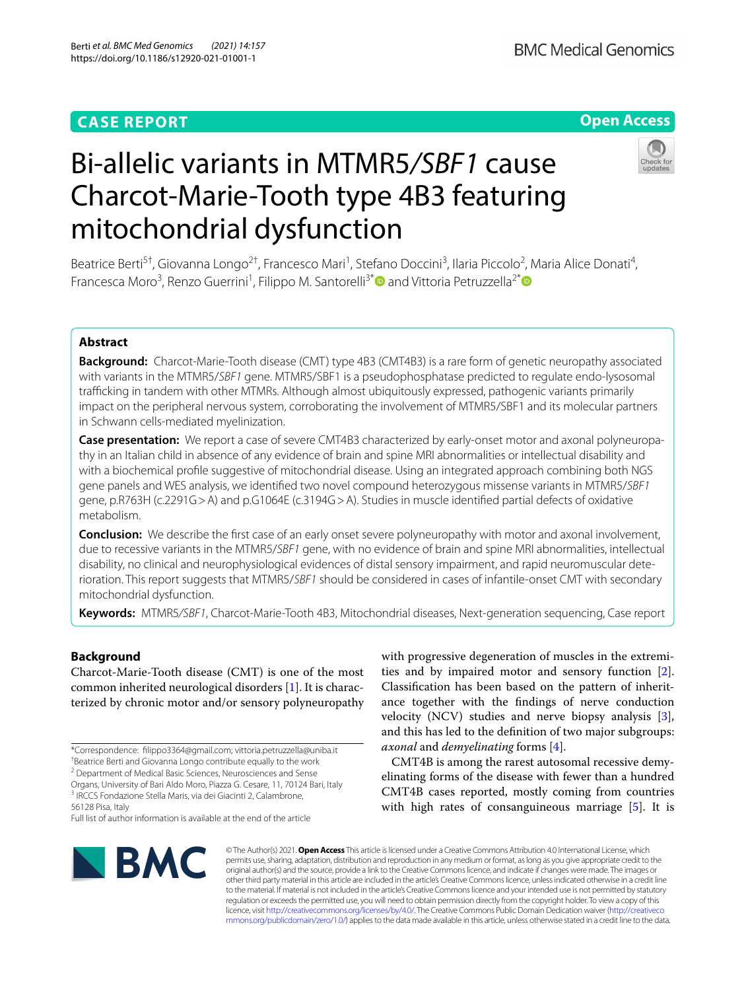# **CASE REPORT**

# **Open Access**



# Bi-allelic variants in MTMR5*/SBF1* cause Charcot-Marie-Tooth type 4B3 featuring mitochondrial dysfunction

Beatrice Berti<sup>5†</sup>, Giovanna Longo<sup>2†</sup>, Francesco Mari<sup>1</sup>, Stefano Doccini<sup>3</sup>, Ilaria Piccolo<sup>2</sup>, Maria Alice Donati<sup>4</sup>, Francesca Moro<sup>3</sup>, Renzo Guerrini<sup>1</sup>, Filippo M. Santorelli<sup>3[\\*](http://orcid.org/0000-0001-8771-6033)</sup><sup>1</sup> and Vittoria Petruzzella<sup>2\*</sup>

## **Abstract**

**Background:** Charcot-Marie-Tooth disease (CMT) type 4B3 (CMT4B3) is a rare form of genetic neuropathy associated with variants in the MTMR5/*SBF1* gene. MTMR5/SBF1 is a pseudophosphatase predicted to regulate endo-lysosomal trafficking in tandem with other MTMRs. Although almost ubiquitously expressed, pathogenic variants primarily impact on the peripheral nervous system, corroborating the involvement of MTMR5/SBF1 and its molecular partners in Schwann cells-mediated myelinization.

**Case presentation:** We report a case of severe CMT4B3 characterized by early-onset motor and axonal polyneuropathy in an Italian child in absence of any evidence of brain and spine MRI abnormalities or intellectual disability and with a biochemical profle suggestive of mitochondrial disease. Using an integrated approach combining both NGS gene panels and WES analysis, we identifed two novel compound heterozygous missense variants in MTMR5/*SBF1* gene, p.R763H (c.2291G>A) and p.G1064E (c.3194G>A). Studies in muscle identifed partial defects of oxidative metabolism.

**Conclusion:** We describe the frst case of an early onset severe polyneuropathy with motor and axonal involvement, due to recessive variants in the MTMR5/*SBF1* gene, with no evidence of brain and spine MRI abnormalities, intellectual disability, no clinical and neurophysiological evidences of distal sensory impairment, and rapid neuromuscular deterioration. This report suggests that MTMR5/*SBF1* should be considered in cases of infantile-onset CMT with secondary mitochondrial dysfunction.

**Keywords:** MTMR5*/SBF1*, Charcot-Marie-Tooth 4B3, Mitochondrial diseases, Next-generation sequencing, Case report

### **Background**

Charcot-Marie-Tooth disease (CMT) is one of the most common inherited neurological disorders [[1\]](#page-4-0). It is characterized by chronic motor and/or sensory polyneuropathy

Organs, University of Bari Aldo Moro, Piazza G. Cesare, 11, 70124 Bari, Italy <sup>3</sup> IRCCS Fondazione Stella Maris, via dei Giacinti 2, Calambrone, 56128 Pisa, Italy

Full list of author information is available at the end of the article

with progressive degeneration of muscles in the extremities and by impaired motor and sensory function [\[2](#page-4-1)]. Classifcation has been based on the pattern of inheritance together with the fndings of nerve conduction velocity (NCV) studies and nerve biopsy analysis [\[3](#page-4-2)], and this has led to the defnition of two major subgroups: *axonal* and *demyelinating* forms [[4\]](#page-4-3).

CMT4B is among the rarest autosomal recessive demyelinating forms of the disease with fewer than a hundred CMT4B cases reported, mostly coming from countries with high rates of consanguineous marriage [\[5](#page-4-4)]. It is



© The Author(s) 2021. **Open Access** This article is licensed under a Creative Commons Attribution 4.0 International License, which permits use, sharing, adaptation, distribution and reproduction in any medium or format, as long as you give appropriate credit to the original author(s) and the source, provide a link to the Creative Commons licence, and indicate if changes were made. The images or other third party material in this article are included in the article's Creative Commons licence, unless indicated otherwise in a credit line to the material. If material is not included in the article's Creative Commons licence and your intended use is not permitted by statutory regulation or exceeds the permitted use, you will need to obtain permission directly from the copyright holder. To view a copy of this licence, visit [http://creativecommons.org/licenses/by/4.0/.](http://creativecommons.org/licenses/by/4.0/) The Creative Commons Public Domain Dedication waiver ([http://creativeco](http://creativecommons.org/publicdomain/zero/1.0/) [mmons.org/publicdomain/zero/1.0/](http://creativecommons.org/publicdomain/zero/1.0/)) applies to the data made available in this article, unless otherwise stated in a credit line to the data.

<sup>\*</sup>Correspondence: flippo3364@gmail.com; vittoria.petruzzella@uniba.it † Beatrice Berti and Giovanna Longo contribute equally to the work

<sup>&</sup>lt;sup>2</sup> Department of Medical Basic Sciences, Neurosciences and Sense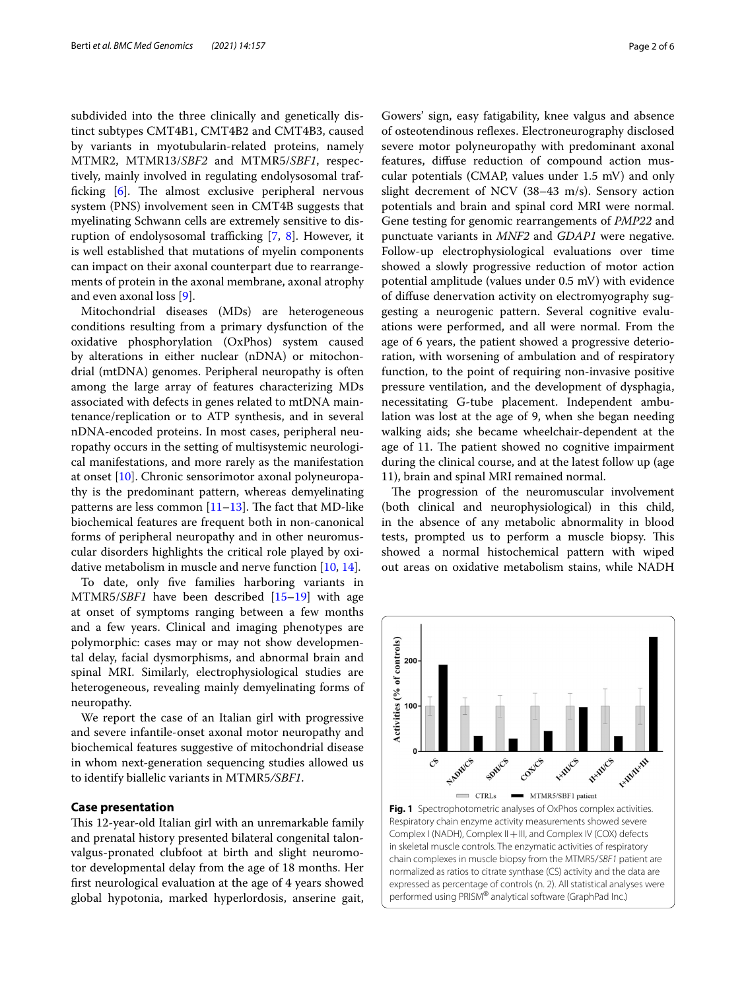subdivided into the three clinically and genetically distinct subtypes CMT4B1, CMT4B2 and CMT4B3, caused by variants in myotubularin-related proteins, namely MTMR2, MTMR13/*SBF2* and MTMR5/*SBF1*, respectively, mainly involved in regulating endolysosomal trafficking  $[6]$  $[6]$ . The almost exclusive peripheral nervous system (PNS) involvement seen in CMT4B suggests that myelinating Schwann cells are extremely sensitive to disruption of endolysosomal trafficking  $[7, 8]$  $[7, 8]$  $[7, 8]$  $[7, 8]$ . However, it is well established that mutations of myelin components can impact on their axonal counterpart due to rearrangements of protein in the axonal membrane, axonal atrophy and even axonal loss [[9\]](#page-4-8).

Mitochondrial diseases (MDs) are heterogeneous conditions resulting from a primary dysfunction of the oxidative phosphorylation (OxPhos) system caused by alterations in either nuclear (nDNA) or mitochondrial (mtDNA) genomes. Peripheral neuropathy is often among the large array of features characterizing MDs associated with defects in genes related to mtDNA maintenance/replication or to ATP synthesis, and in several nDNA-encoded proteins. In most cases, peripheral neuropathy occurs in the setting of multisystemic neurological manifestations, and more rarely as the manifestation at onset [[10\]](#page-4-9). Chronic sensorimotor axonal polyneuropathy is the predominant pattern, whereas demyelinating patterns are less common  $[11–13]$  $[11–13]$  $[11–13]$  $[11–13]$ . The fact that MD-like biochemical features are frequent both in non-canonical forms of peripheral neuropathy and in other neuromuscular disorders highlights the critical role played by oxidative metabolism in muscle and nerve function [[10](#page-4-9), [14\]](#page-5-0).

To date, only fve families harboring variants in MTMR5/*SBF1* have been described [\[15](#page-5-1)[–19](#page-5-2)] with age at onset of symptoms ranging between a few months and a few years. Clinical and imaging phenotypes are polymorphic: cases may or may not show developmental delay, facial dysmorphisms, and abnormal brain and spinal MRI. Similarly, electrophysiological studies are heterogeneous, revealing mainly demyelinating forms of neuropathy.

We report the case of an Italian girl with progressive and severe infantile-onset axonal motor neuropathy and biochemical features suggestive of mitochondrial disease in whom next-generation sequencing studies allowed us to identify biallelic variants in MTMR5*/SBF1*.

#### **Case presentation**

This 12-year-old Italian girl with an unremarkable family and prenatal history presented bilateral congenital talonvalgus-pronated clubfoot at birth and slight neuromotor developmental delay from the age of 18 months. Her frst neurological evaluation at the age of 4 years showed global hypotonia, marked hyperlordosis, anserine gait,

Gowers' sign, easy fatigability, knee valgus and absence of osteotendinous refexes. Electroneurography disclosed severe motor polyneuropathy with predominant axonal features, difuse reduction of compound action muscular potentials (CMAP, values under 1.5 mV) and only slight decrement of NCV (38–43 m/s). Sensory action potentials and brain and spinal cord MRI were normal. Gene testing for genomic rearrangements of *PMP22* and punctuate variants in *MNF2* and *GDAP1* were negative. Follow-up electrophysiological evaluations over time showed a slowly progressive reduction of motor action potential amplitude (values under 0.5 mV) with evidence of difuse denervation activity on electromyography suggesting a neurogenic pattern. Several cognitive evaluations were performed, and all were normal. From the age of 6 years, the patient showed a progressive deterioration, with worsening of ambulation and of respiratory function, to the point of requiring non-invasive positive pressure ventilation, and the development of dysphagia, necessitating G-tube placement. Independent ambulation was lost at the age of 9, when she began needing walking aids; she became wheelchair-dependent at the age of 11. The patient showed no cognitive impairment during the clinical course, and at the latest follow up (age 11), brain and spinal MRI remained normal.

The progression of the neuromuscular involvement (both clinical and neurophysiological) in this child, in the absence of any metabolic abnormality in blood tests, prompted us to perform a muscle biopsy. This showed a normal histochemical pattern with wiped out areas on oxidative metabolism stains, while NADH

<span id="page-1-0"></span>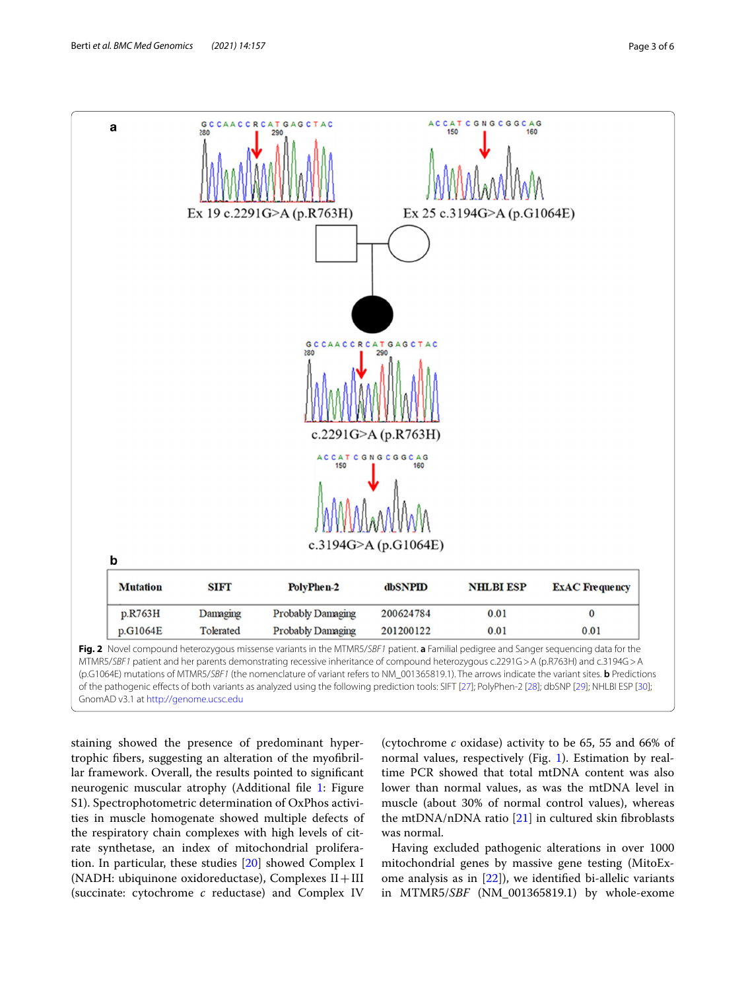

<span id="page-2-0"></span>staining showed the presence of predominant hypertrophic fbers, suggesting an alteration of the myofbrillar framework. Overall, the results pointed to signifcant neurogenic muscular atrophy (Additional fle [1](#page-4-12): Figure S1). Spectrophotometric determination of OxPhos activities in muscle homogenate showed multiple defects of the respiratory chain complexes with high levels of citrate synthetase, an index of mitochondrial proliferation. In particular, these studies [[20\]](#page-5-3) showed Complex I (NADH: ubiquinone oxidoreductase), Complexes  $II+III$ (succinate: cytochrome *c* reductase) and Complex IV

(cytochrome *c* oxidase) activity to be 65, 55 and 66% of normal values, respectively (Fig. [1\)](#page-1-0). Estimation by realtime PCR showed that total mtDNA content was also lower than normal values, as was the mtDNA level in muscle (about 30% of normal control values), whereas the mtDNA/nDNA ratio  $[21]$  $[21]$  in cultured skin fibroblasts was normal.

Having excluded pathogenic alterations in over 1000 mitochondrial genes by massive gene testing (MitoExome analysis as in  $[22]$ ), we identified bi-allelic variants in MTMR5/*SBF* (NM\_001365819.1) by whole-exome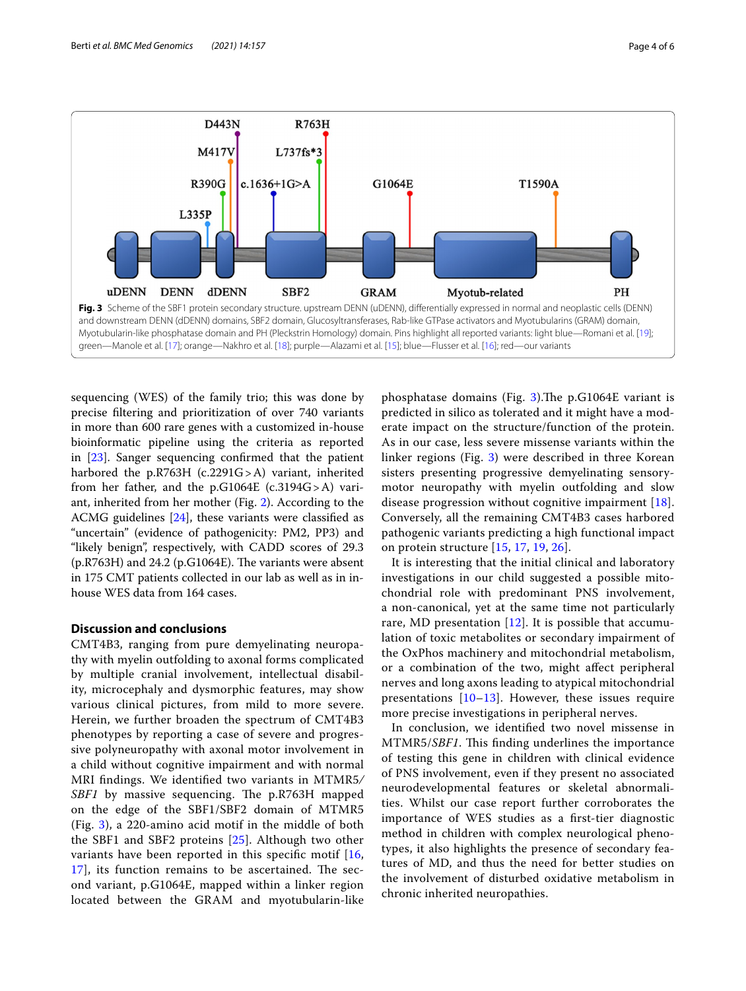

<span id="page-3-0"></span>sequencing (WES) of the family trio; this was done by precise fltering and prioritization of over 740 variants in more than 600 rare genes with a customized in-house bioinformatic pipeline using the criteria as reported in [[23\]](#page-5-10). Sanger sequencing confrmed that the patient harbored the p.R763H (c.2291G>A) variant, inherited from her father, and the p.G1064E  $(c.3194G>A)$  variant, inherited from her mother (Fig. [2\)](#page-2-0). According to the ACMG guidelines [\[24](#page-5-11)], these variants were classifed as "uncertain" (evidence of pathogenicity: PM2, PP3) and "likely benign", respectively, with CADD scores of 29.3  $(p.R763H)$  and 24.2  $(p.G1064E)$ . The variants were absent in 175 CMT patients collected in our lab as well as in inhouse WES data from 164 cases.

#### **Discussion and conclusions**

CMT4B3, ranging from pure demyelinating neuropathy with myelin outfolding to axonal forms complicated by multiple cranial involvement, intellectual disability, microcephaly and dysmorphic features, may show various clinical pictures, from mild to more severe. Herein, we further broaden the spectrum of CMT4B3 phenotypes by reporting a case of severe and progressive polyneuropathy with axonal motor involvement in a child without cognitive impairment and with normal MRI fndings. We identifed two variants in MTMR5*/ SBF1* by massive sequencing. The p.R763H mapped on the edge of the SBF1/SBF2 domain of MTMR5 (Fig. [3\)](#page-3-0), a 220-amino acid motif in the middle of both the SBF1 and SBF2 proteins [[25\]](#page-5-12). Although two other variants have been reported in this specific motif  $[16,$  $[16,$  $17$ ], its function remains to be ascertained. The second variant, p.G1064E, mapped within a linker region located between the GRAM and myotubularin-like phosphatase domains (Fig.  $3$ ). The p.G1064E variant is predicted in silico as tolerated and it might have a moderate impact on the structure/function of the protein. As in our case, less severe missense variants within the linker regions (Fig. [3\)](#page-3-0) were described in three Korean sisters presenting progressive demyelinating sensorymotor neuropathy with myelin outfolding and slow disease progression without cognitive impairment [[18](#page-5-15)]. Conversely, all the remaining CMT4B3 cases harbored pathogenic variants predicting a high functional impact on protein structure [[15,](#page-5-1) [17,](#page-5-14) [19,](#page-5-2) [26\]](#page-5-16).

It is interesting that the initial clinical and laboratory investigations in our child suggested a possible mitochondrial role with predominant PNS involvement, a non-canonical, yet at the same time not particularly rare, MD presentation  $[12]$  $[12]$ . It is possible that accumulation of toxic metabolites or secondary impairment of the OxPhos machinery and mitochondrial metabolism, or a combination of the two, might afect peripheral nerves and long axons leading to atypical mitochondrial presentations [[10](#page-4-9)–[13](#page-4-11)]. However, these issues require more precise investigations in peripheral nerves.

In conclusion, we identifed two novel missense in MTMR5/*SBF1*. This finding underlines the importance of testing this gene in children with clinical evidence of PNS involvement, even if they present no associated neurodevelopmental features or skeletal abnormalities. Whilst our case report further corroborates the importance of WES studies as a frst-tier diagnostic method in children with complex neurological phenotypes, it also highlights the presence of secondary features of MD, and thus the need for better studies on the involvement of disturbed oxidative metabolism in chronic inherited neuropathies.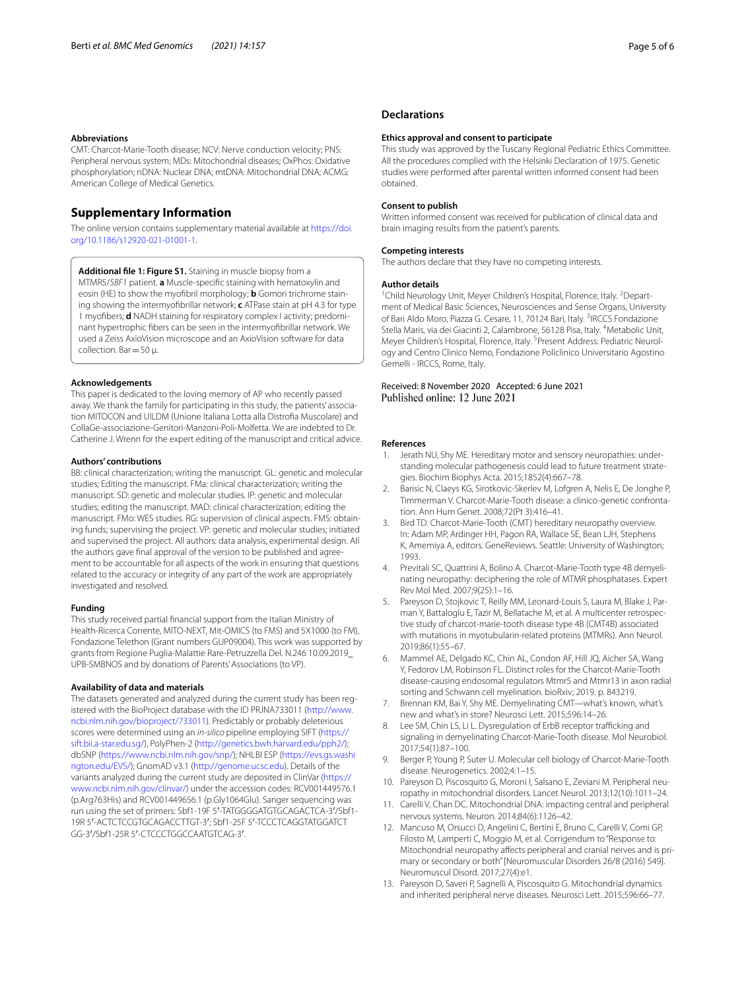#### **Abbreviations**

CMT: Charcot-Marie-Tooth disease; NCV: Nerve conduction velocity; PNS: Peripheral nervous system; MDs: Mitochondrial diseases; OxPhos: Oxidative phosphorylation; nDNA: Nuclear DNA; mtDNA: Mitochondrial DNA; ACMG: American College of Medical Genetics.

#### **Supplementary Information**

The online version contains supplementary material available at [https://doi.](https://doi.org/10.1186/s12920-021-01001-1) [org/10.1186/s12920-021-01001-1](https://doi.org/10.1186/s12920-021-01001-1).

<span id="page-4-12"></span>**Additional fle 1: Figure S1.** Staining in muscle biopsy from a MTMR5/*SBF1* patient. **a** Muscle-specifc staining with hematoxylin and eosin (HE) to show the myofbril morphology; **b** Gomori trichrome staining showing the intermyofbrillar network; **c** ATPase stain at pH 4.3 for type 1 myofbers; **d** NADH staining for respiratory complex I activity; predominant hypertrophic fbers can be seen in the intermyofbrillar network. We used a Zeiss AxioVision microscope and an AxioVision software for data collection. Bar=50 μ.

#### **Acknowledgements**

This paper is dedicated to the loving memory of AP who recently passed away. We thank the family for participating in this study, the patients' association MITOCON and UILDM (Unione Italiana Lotta alla Distrofa Muscolare) and CollaGe-associazione-Genitori-Manzoni-Poli-Molfetta. We are indebted to Dr. Catherine J. Wrenn for the expert editing of the manuscript and critical advice.

#### **Authors' contributions**

BB: clinical characterization; writing the manuscript. GL: genetic and molecular studies; Editing the manuscript. FMa: clinical characterization; writing the manuscript. SD: genetic and molecular studies. IP: genetic and molecular studies; editing the manuscript. MAD: clinical characterization; editing the manuscript. FMo: WES studies. RG: supervision of clinical aspects. FMS: obtaining funds; supervising the project. VP: genetic and molecular studies; initiated and supervised the project. All authors: data analysis, experimental design. All the authors gave fnal approval of the version to be published and agreement to be accountable for all aspects of the work in ensuring that questions related to the accuracy or integrity of any part of the work are appropriately investigated and resolved.

#### **Funding**

This study received partial fnancial support from the Italian Ministry of Health-Ricerca Corrente, MITO-NEXT, Mit-OMICS (to FMS) and 5X1000 (to FM), Fondazione Telethon (Grant numbers GUP09004). This work was supported by grants from Regione Puglia-Malattie Rare-Petruzzella Del. N.246 10.09.2019\_ UPB-SMBNOS and by donations of Parents' Associations (to VP).

#### **Availability of data and materials**

The datasets generated and analyzed during the current study has been registered with the BioProject database with the ID PRJNA733011 [\(http://www.](http://www.ncbi.nlm.nih.gov/bioproject/733011) [ncbi.nlm.nih.gov/bioproject/733011\)](http://www.ncbi.nlm.nih.gov/bioproject/733011). Predictably or probably deleterious scores were determined using an *in-silico* pipeline employing SIFT [\(https://](https://sift.bii.a-star.edu.sg/) [sift.bii.a-star.edu.sg/](https://sift.bii.a-star.edu.sg/)), PolyPhen-2 [\(http://genetics.bwh.harvard.edu/pph2/](http://genetics.bwh.harvard.edu/pph2/)); dbSNP (<https://www.ncbi.nlm.nih.gov/snp/>); NHLBI ESP [\(https://evs.gs.washi](https://evs.gs.washington.edu/EVS/) [ngton.edu/EVS/](https://evs.gs.washington.edu/EVS/)); GnomAD v3.1 (<http://genome.ucsc.edu>). Details of the variants analyzed during the current study are deposited in ClinVar [\(https://](https://www.ncbi.nlm.nih.gov/clinvar/) [www.ncbi.nlm.nih.gov/clinvar/\)](https://www.ncbi.nlm.nih.gov/clinvar/) under the accession codes: RCV001449576.1 (p.Arg763His) and RCV001449656.1 (p.Gly1064Glu). Sanger sequencing was run using the set of primers: Sbf1-19F 5′-TATGGGGATGTGCAGACTCA-3′/Sbf1- 19R 5′-ACTCTCCGTGCAGACCTTGT-3′; Sbf1-25F 5′-TCCCTCAGGTATGGATCT GG-3′/Sbf1-25R 5′-CTCCCTGGCCAATGTCAG-3′.

#### **Declarations**

#### **Ethics approval and consent to participate**

This study was approved by the Tuscany Regional Pediatric Ethics Committee. All the procedures complied with the Helsinki Declaration of 1975. Genetic studies were performed after parental written informed consent had been obtained.

#### **Consent to publish**

Written informed consent was received for publication of clinical data and brain imaging results from the patient's parents.

#### **Competing interests**

The authors declare that they have no competing interests.

#### **Author details**

<sup>1</sup> Child Neurology Unit, Meyer Children's Hospital, Florence, Italy. <sup>2</sup> Department of Medical Basic Sciences, Neurosciences and Sense Organs, University of Bari Aldo Moro, Piazza G. Cesare, 11, 70124 Bari, Italy. <sup>3</sup>IRCCS Fondazione Stella Maris, via dei Giacinti 2, Calambrone, 56128 Pisa, Italy. <sup>4</sup>Metabolic Unit, Meyer Children's Hospital, Florence, Italy. <sup>5</sup> Present Address: Pediatric Neurology and Centro Clinico Nemo, Fondazione Policlinico Universitario Agostino Gemelli - IRCCS, Rome, Italy.

# Received: 8 November 2020 Accepted: 6 June 2021

#### **References**

- <span id="page-4-0"></span>Jerath NU, Shy ME. Hereditary motor and sensory neuropathies: understanding molecular pathogenesis could lead to future treatment strategies. Biochim Biophys Acta. 2015;1852(4):667–78.
- <span id="page-4-1"></span>2. Barisic N, Claeys KG, Sirotkovic-Skerlev M, Lofgren A, Nelis E, De Jonghe P, Timmerman V. Charcot-Marie-Tooth disease: a clinico-genetic confrontation. Ann Hum Genet. 2008;72(Pt 3):416–41.
- <span id="page-4-2"></span>3. Bird TD. Charcot-Marie-Tooth (CMT) hereditary neuropathy overview. In: Adam MP, Ardinger HH, Pagon RA, Wallace SE, Bean LJH, Stephens K, Amemiya A, editors. GeneReviews. Seattle: University of Washington; 1993.
- <span id="page-4-3"></span>4. Previtali SC, Quattrini A, Bolino A. Charcot-Marie-Tooth type 4B demyelinating neuropathy: deciphering the role of MTMR phosphatases. Expert Rev Mol Med. 2007;9(25):1–16.
- <span id="page-4-4"></span>5. Pareyson D, Stojkovic T, Reilly MM, Leonard-Louis S, Laura M, Blake J, Parman Y, Battaloglu E, Tazir M, Bellatache M, et al. A multicenter retrospective study of charcot-marie-tooth disease type 4B (CMT4B) associated with mutations in myotubularin-related proteins (MTMRs). Ann Neurol. 2019;86(1):55–67.
- <span id="page-4-5"></span>6. Mammel AE, Delgado KC, Chin AL, Condon AF, Hill JQ, Aicher SA, Wang Y, Fedorov LM, Robinson FL. Distinct roles for the Charcot-Marie-Tooth disease-causing endosomal regulators Mtmr5 and Mtmr13 in axon radial sorting and Schwann cell myelination. bioRxiv; 2019. p. 843219.
- <span id="page-4-6"></span>7. Brennan KM, Bai Y, Shy ME. Demyelinating CMT—what's known, what's new and what's in store? Neurosci Lett. 2015;596:14–26.
- <span id="page-4-7"></span>8. Lee SM, Chin LS, Li L. Dysregulation of ErbB receptor trafficking and signaling in demyelinating Charcot-Marie-Tooth disease. Mol Neurobiol. 2017;54(1):87–100.
- <span id="page-4-8"></span>Berger P, Young P, Suter U. Molecular cell biology of Charcot-Marie-Tooth disease. Neurogenetics. 2002;4:1–15.
- <span id="page-4-9"></span>10. Pareyson D, Piscosquito G, Moroni I, Salsano E, Zeviani M. Peripheral neuropathy in mitochondrial disorders. Lancet Neurol. 2013;12(10):1011–24.
- <span id="page-4-10"></span>11. Carelli V, Chan DC. Mitochondrial DNA: impacting central and peripheral nervous systems. Neuron. 2014;84(6):1126–42.
- <span id="page-4-13"></span>12. Mancuso M, Orsucci D, Angelini C, Bertini E, Bruno C, Carelli V, Comi GP, Filosto M, Lamperti C, Moggio M, et al. Corrigendum to "Response to: Mitochondrial neuropathy afects peripheral and cranial nerves and is primary or secondary or both" [Neuromuscular Disorders 26/8 (2016) 549]. Neuromuscul Disord. 2017;27(4):e1.
- <span id="page-4-11"></span>13. Pareyson D, Saveri P, Sagnelli A, Piscosquito G. Mitochondrial dynamics and inherited peripheral nerve diseases. Neurosci Lett. 2015;596:66–77.